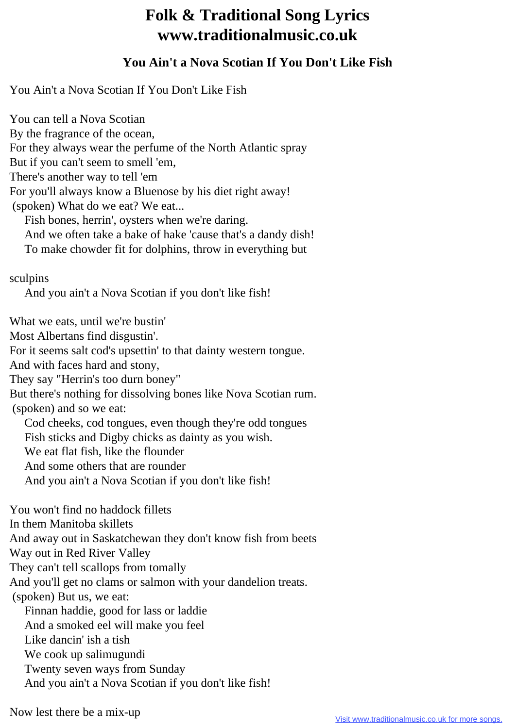## **Folk & Traditional Song Lyrics www.traditionalmusic.co.uk**

## **You Ain't a Nova Scotian If You Don't Like Fish**

You Ain't a Nova Scotian If You Don't Like Fish

You can tell a Nova Scotian By the fragrance of the ocean, For they always wear the perfume of the North Atlantic spray But if you can't seem to smell 'em, There's another way to tell 'em For you'll always know a Bluenose by his diet right away! (spoken) What do we eat? We eat... Fish bones, herrin', oysters when we're daring. And we often take a bake of hake 'cause that's a dandy dish! To make chowder fit for dolphins, throw in everything but sculpins And you ain't a Nova Scotian if you don't like fish! What we eats, until we're bustin' Most Albertans find disgustin'. For it seems salt cod's upsettin' to that dainty western tongue. And with faces hard and stony, They say "Herrin's too durn boney" But there's nothing for dissolving bones like Nova Scotian rum. (spoken) and so we eat: Cod cheeks, cod tongues, even though they're odd tongues Fish sticks and Digby chicks as dainty as you wish. We eat flat fish, like the flounder And some others that are rounder And you ain't a Nova Scotian if you don't like fish! You won't find no haddock fillets In them Manitoba skillets And away out in Saskatchewan they don't know fish from beets Way out in Red River Valley They can't tell scallops from tomally And you'll get no clams or salmon with your dandelion treats. (spoken) But us, we eat: Finnan haddie, good for lass or laddie And a smoked eel will make you feel Like dancin' ish a tish We cook up salimugundi Twenty seven ways from Sunday And you ain't a Nova Scotian if you don't like fish!

Now lest there be a mix-up